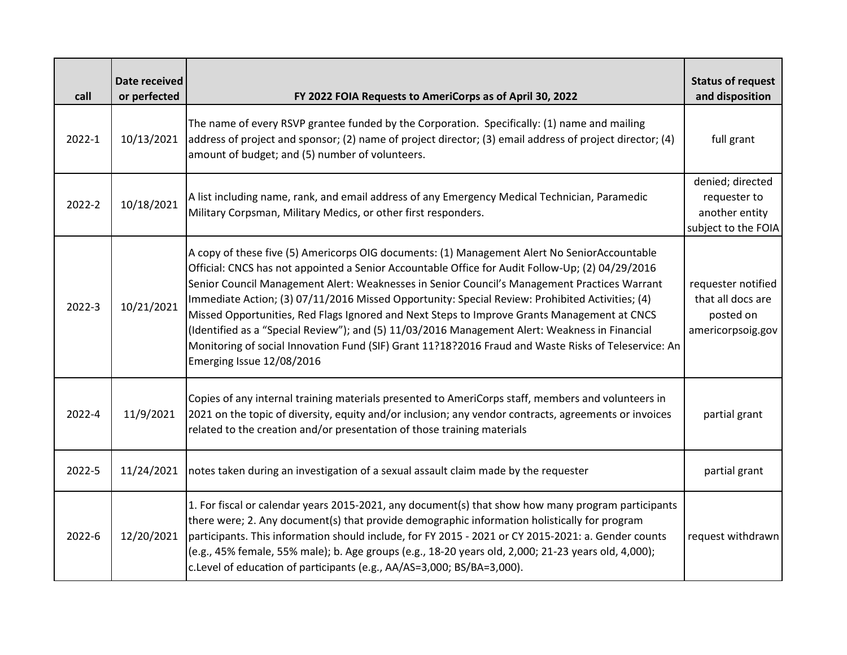| call   | Date received<br>or perfected | FY 2022 FOIA Requests to AmeriCorps as of April 30, 2022                                                                                                                                                                                                                                                                                                                                                                                                                                                                                                                                                                                                                                                                                  | <b>Status of request</b><br>and disposition                               |
|--------|-------------------------------|-------------------------------------------------------------------------------------------------------------------------------------------------------------------------------------------------------------------------------------------------------------------------------------------------------------------------------------------------------------------------------------------------------------------------------------------------------------------------------------------------------------------------------------------------------------------------------------------------------------------------------------------------------------------------------------------------------------------------------------------|---------------------------------------------------------------------------|
| 2022-1 | 10/13/2021                    | The name of every RSVP grantee funded by the Corporation. Specifically: (1) name and mailing<br>address of project and sponsor; (2) name of project director; (3) email address of project director; (4)<br>amount of budget; and (5) number of volunteers.                                                                                                                                                                                                                                                                                                                                                                                                                                                                               | full grant                                                                |
| 2022-2 | 10/18/2021                    | A list including name, rank, and email address of any Emergency Medical Technician, Paramedic<br>Military Corpsman, Military Medics, or other first responders.                                                                                                                                                                                                                                                                                                                                                                                                                                                                                                                                                                           | denied; directed<br>requester to<br>another entity<br>subject to the FOIA |
| 2022-3 | 10/21/2021                    | A copy of these five (5) Americorps OIG documents: (1) Management Alert No SeniorAccountable<br>Official: CNCS has not appointed a Senior Accountable Office for Audit Follow-Up; (2) 04/29/2016<br>Senior Council Management Alert: Weaknesses in Senior Council's Management Practices Warrant<br>Immediate Action; (3) 07/11/2016 Missed Opportunity: Special Review: Prohibited Activities; (4)<br>Missed Opportunities, Red Flags Ignored and Next Steps to Improve Grants Management at CNCS<br>(Identified as a "Special Review"); and (5) 11/03/2016 Management Alert: Weakness in Financial<br>Monitoring of social Innovation Fund (SIF) Grant 11?18?2016 Fraud and Waste Risks of Teleservice: An<br>Emerging Issue 12/08/2016 | requester notified<br>that all docs are<br>posted on<br>americorpsoig.gov |
| 2022-4 | 11/9/2021                     | Copies of any internal training materials presented to AmeriCorps staff, members and volunteers in<br>2021 on the topic of diversity, equity and/or inclusion; any vendor contracts, agreements or invoices<br>related to the creation and/or presentation of those training materials                                                                                                                                                                                                                                                                                                                                                                                                                                                    | partial grant                                                             |
| 2022-5 | 11/24/2021                    | notes taken during an investigation of a sexual assault claim made by the requester                                                                                                                                                                                                                                                                                                                                                                                                                                                                                                                                                                                                                                                       | partial grant                                                             |
| 2022-6 | 12/20/2021                    | 1. For fiscal or calendar years 2015-2021, any document(s) that show how many program participants<br>there were; 2. Any document(s) that provide demographic information holistically for program<br>participants. This information should include, for FY 2015 - 2021 or CY 2015-2021: a. Gender counts<br>(e.g., 45% female, 55% male); b. Age groups (e.g., 18-20 years old, 2,000; 21-23 years old, 4,000);<br>c.Level of education of participants (e.g., AA/AS=3,000; BS/BA=3,000).                                                                                                                                                                                                                                                | request withdrawn                                                         |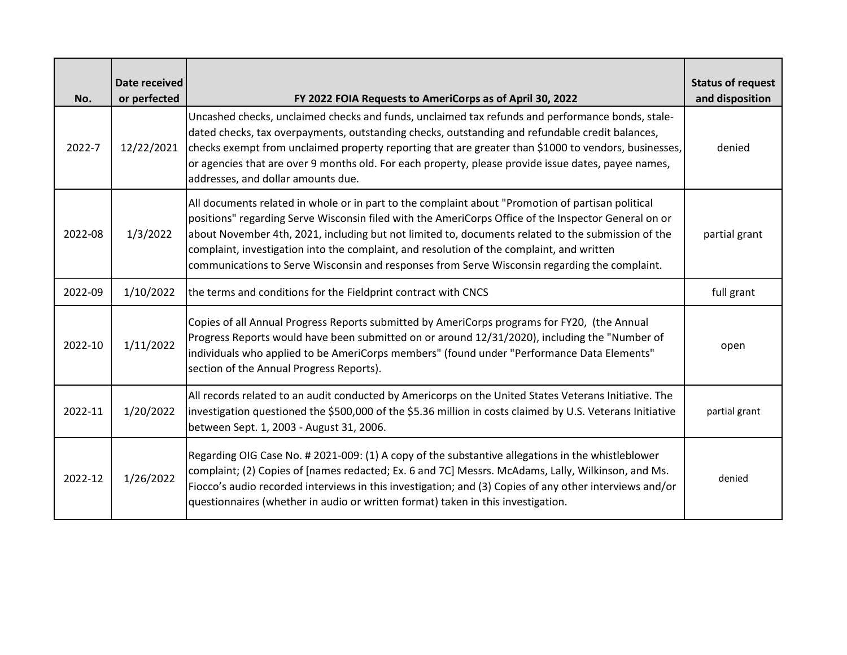| No.     | Date received<br>or perfected | FY 2022 FOIA Requests to AmeriCorps as of April 30, 2022                                                                                                                                                                                                                                                                                                                                                                                                                                                      | <b>Status of request</b><br>and disposition |
|---------|-------------------------------|---------------------------------------------------------------------------------------------------------------------------------------------------------------------------------------------------------------------------------------------------------------------------------------------------------------------------------------------------------------------------------------------------------------------------------------------------------------------------------------------------------------|---------------------------------------------|
| 2022-7  | 12/22/2021                    | Uncashed checks, unclaimed checks and funds, unclaimed tax refunds and performance bonds, stale-<br>dated checks, tax overpayments, outstanding checks, outstanding and refundable credit balances,<br>checks exempt from unclaimed property reporting that are greater than \$1000 to vendors, businesses,<br>or agencies that are over 9 months old. For each property, please provide issue dates, payee names,<br>addresses, and dollar amounts due.                                                      | denied                                      |
| 2022-08 | 1/3/2022                      | All documents related in whole or in part to the complaint about "Promotion of partisan political<br>positions" regarding Serve Wisconsin filed with the AmeriCorps Office of the Inspector General on or<br>about November 4th, 2021, including but not limited to, documents related to the submission of the<br>complaint, investigation into the complaint, and resolution of the complaint, and written<br>communications to Serve Wisconsin and responses from Serve Wisconsin regarding the complaint. | partial grant                               |
| 2022-09 | 1/10/2022                     | the terms and conditions for the Fieldprint contract with CNCS                                                                                                                                                                                                                                                                                                                                                                                                                                                | full grant                                  |
| 2022-10 | 1/11/2022                     | Copies of all Annual Progress Reports submitted by AmeriCorps programs for FY20, (the Annual<br>Progress Reports would have been submitted on or around 12/31/2020), including the "Number of<br>lindividuals who applied to be AmeriCorps members" (found under "Performance Data Elements"<br>section of the Annual Progress Reports).                                                                                                                                                                      | open                                        |
| 2022-11 | 1/20/2022                     | All records related to an audit conducted by Americorps on the United States Veterans Initiative. The<br>investigation questioned the \$500,000 of the \$5.36 million in costs claimed by U.S. Veterans Initiative<br>between Sept. 1, 2003 - August 31, 2006.                                                                                                                                                                                                                                                | partial grant                               |
| 2022-12 | 1/26/2022                     | Regarding OIG Case No. # 2021-009: (1) A copy of the substantive allegations in the whistleblower<br>complaint; (2) Copies of [names redacted; Ex. 6 and 7C] Messrs. McAdams, Lally, Wilkinson, and Ms.<br>Fiocco's audio recorded interviews in this investigation; and (3) Copies of any other interviews and/or<br>questionnaires (whether in audio or written format) taken in this investigation.                                                                                                        | denied                                      |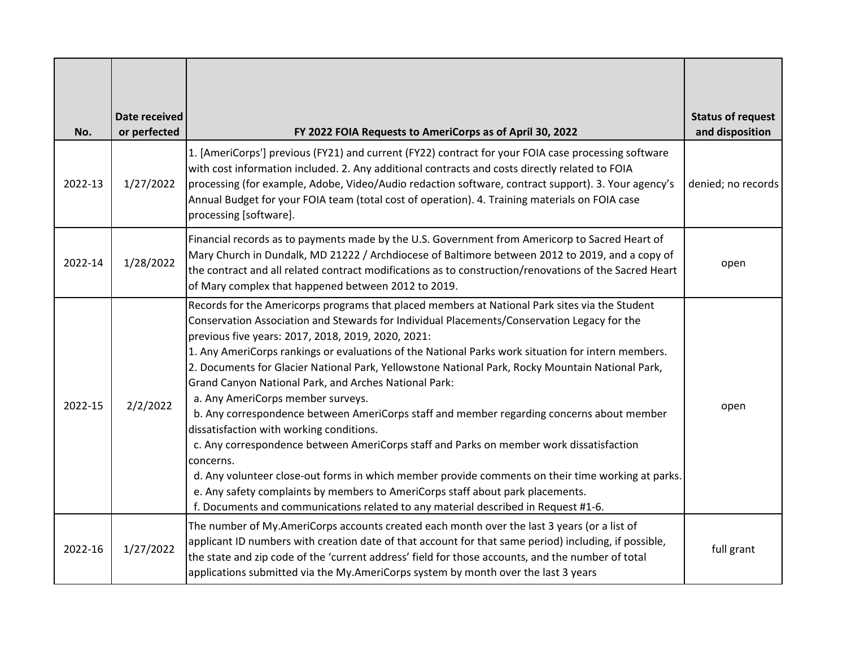| No.     | Date received<br>or perfected | FY 2022 FOIA Requests to AmeriCorps as of April 30, 2022                                                                                                                                                                                                                                                                                                                                                                                                                                                                                                                                                                                                                                                                                                                                                                                                                                                                                                                                                                                                                                         | <b>Status of request</b><br>and disposition |
|---------|-------------------------------|--------------------------------------------------------------------------------------------------------------------------------------------------------------------------------------------------------------------------------------------------------------------------------------------------------------------------------------------------------------------------------------------------------------------------------------------------------------------------------------------------------------------------------------------------------------------------------------------------------------------------------------------------------------------------------------------------------------------------------------------------------------------------------------------------------------------------------------------------------------------------------------------------------------------------------------------------------------------------------------------------------------------------------------------------------------------------------------------------|---------------------------------------------|
| 2022-13 | 1/27/2022                     | 1. [AmeriCorps'] previous (FY21) and current (FY22) contract for your FOIA case processing software<br>with cost information included. 2. Any additional contracts and costs directly related to FOIA<br>processing (for example, Adobe, Video/Audio redaction software, contract support). 3. Your agency's<br>Annual Budget for your FOIA team (total cost of operation). 4. Training materials on FOIA case<br>processing [software].                                                                                                                                                                                                                                                                                                                                                                                                                                                                                                                                                                                                                                                         | denied; no records                          |
| 2022-14 | 1/28/2022                     | Financial records as to payments made by the U.S. Government from Americorp to Sacred Heart of<br>Mary Church in Dundalk, MD 21222 / Archdiocese of Baltimore between 2012 to 2019, and a copy of<br>the contract and all related contract modifications as to construction/renovations of the Sacred Heart<br>of Mary complex that happened between 2012 to 2019.                                                                                                                                                                                                                                                                                                                                                                                                                                                                                                                                                                                                                                                                                                                               | open                                        |
| 2022-15 | 2/2/2022                      | Records for the Americorps programs that placed members at National Park sites via the Student<br>Conservation Association and Stewards for Individual Placements/Conservation Legacy for the<br>previous five years: 2017, 2018, 2019, 2020, 2021:<br>1. Any AmeriCorps rankings or evaluations of the National Parks work situation for intern members.<br>2. Documents for Glacier National Park, Yellowstone National Park, Rocky Mountain National Park,<br><b>Grand Canyon National Park, and Arches National Park:</b><br>a. Any AmeriCorps member surveys.<br>b. Any correspondence between AmeriCorps staff and member regarding concerns about member<br>dissatisfaction with working conditions.<br>c. Any correspondence between AmeriCorps staff and Parks on member work dissatisfaction<br>concerns.<br>d. Any volunteer close-out forms in which member provide comments on their time working at parks.<br>e. Any safety complaints by members to AmeriCorps staff about park placements.<br>f. Documents and communications related to any material described in Request #1-6. | open                                        |
| 2022-16 | 1/27/2022                     | The number of My.AmeriCorps accounts created each month over the last 3 years (or a list of<br>applicant ID numbers with creation date of that account for that same period) including, if possible,<br>the state and zip code of the 'current address' field for those accounts, and the number of total<br>applications submitted via the My.AmeriCorps system by month over the last 3 years                                                                                                                                                                                                                                                                                                                                                                                                                                                                                                                                                                                                                                                                                                  | full grant                                  |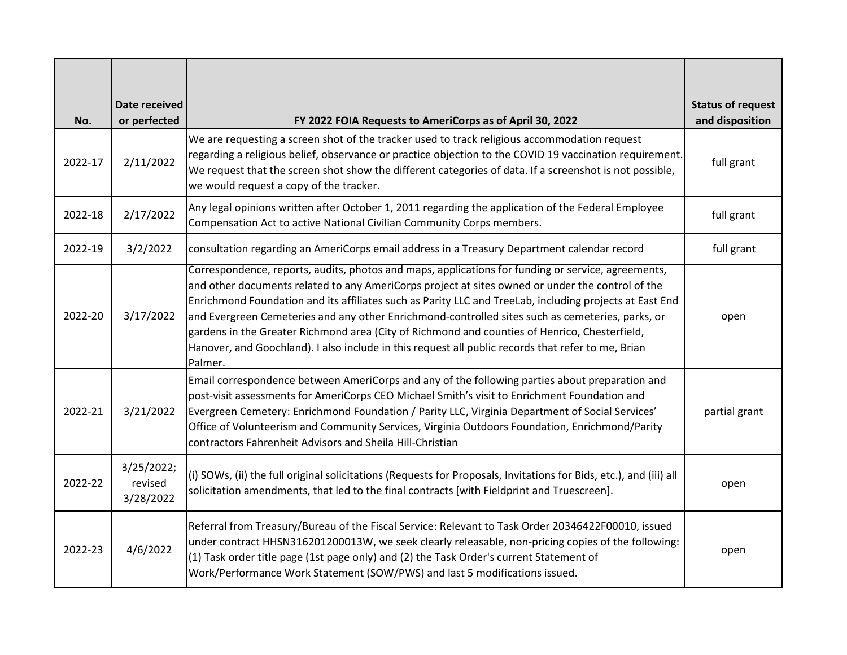| No.     | Date received<br>or perfected      | FY 2022 FOIA Requests to AmeriCorps as of April 30, 2022                                                                                                                                                                                                                                                                                                                                                                                                                                                                                                                                                                                | <b>Status of request</b><br>and disposition |
|---------|------------------------------------|-----------------------------------------------------------------------------------------------------------------------------------------------------------------------------------------------------------------------------------------------------------------------------------------------------------------------------------------------------------------------------------------------------------------------------------------------------------------------------------------------------------------------------------------------------------------------------------------------------------------------------------------|---------------------------------------------|
| 2022-17 | 2/11/2022                          | We are requesting a screen shot of the tracker used to track religious accommodation request<br>regarding a religious belief, observance or practice objection to the COVID 19 vaccination requirement.<br>We request that the screen shot show the different categories of data. If a screenshot is not possible,<br>we would request a copy of the tracker.                                                                                                                                                                                                                                                                           | full grant                                  |
| 2022-18 | 2/17/2022                          | Any legal opinions written after October 1, 2011 regarding the application of the Federal Employee<br>Compensation Act to active National Civilian Community Corps members.                                                                                                                                                                                                                                                                                                                                                                                                                                                             | full grant                                  |
| 2022-19 | 3/2/2022                           | consultation regarding an AmeriCorps email address in a Treasury Department calendar record                                                                                                                                                                                                                                                                                                                                                                                                                                                                                                                                             | full grant                                  |
| 2022-20 | 3/17/2022                          | Correspondence, reports, audits, photos and maps, applications for funding or service, agreements,<br>and other documents related to any AmeriCorps project at sites owned or under the control of the<br>Enrichmond Foundation and its affiliates such as Parity LLC and TreeLab, including projects at East End<br>and Evergreen Cemeteries and any other Enrichmond-controlled sites such as cemeteries, parks, or<br>gardens in the Greater Richmond area (City of Richmond and counties of Henrico, Chesterfield,<br>Hanover, and Goochland). I also include in this request all public records that refer to me, Brian<br>Palmer. | open                                        |
| 2022-21 | 3/21/2022                          | Email correspondence between AmeriCorps and any of the following parties about preparation and<br>post-visit assessments for AmeriCorps CEO Michael Smith's visit to Enrichment Foundation and<br>Evergreen Cemetery: Enrichmond Foundation / Parity LLC, Virginia Department of Social Services'<br>Office of Volunteerism and Community Services, Virginia Outdoors Foundation, Enrichmond/Parity<br>contractors Fahrenheit Advisors and Sheila Hill-Christian                                                                                                                                                                        | partial grant                               |
| 2022-22 | 3/25/2022;<br>revised<br>3/28/2022 | (i) SOWs, (ii) the full original solicitations (Requests for Proposals, Invitations for Bids, etc.), and (iii) all<br>solicitation amendments, that led to the final contracts [with Fieldprint and Truescreen].                                                                                                                                                                                                                                                                                                                                                                                                                        | open                                        |
| 2022-23 | 4/6/2022                           | Referral from Treasury/Bureau of the Fiscal Service: Relevant to Task Order 20346422F00010, issued<br>under contract HHSN316201200013W, we seek clearly releasable, non-pricing copies of the following:<br>(1) Task order title page (1st page only) and (2) the Task Order's current Statement of<br>Work/Performance Work Statement (SOW/PWS) and last 5 modifications issued.                                                                                                                                                                                                                                                       | open                                        |